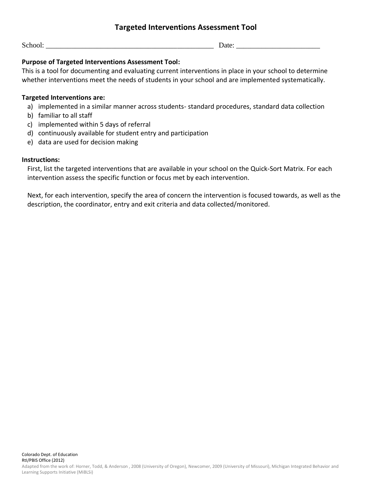# **Targeted Interventions Assessment Tool**

School: \_\_\_\_\_\_\_\_\_\_\_\_\_\_\_\_\_\_\_\_\_\_\_\_\_\_\_\_\_\_\_\_\_\_\_\_\_\_\_\_\_\_\_\_\_\_ Date: \_\_\_\_\_\_\_\_\_\_\_\_\_\_\_\_\_\_\_\_\_\_\_

### **Purpose of Targeted Interventions Assessment Tool:**

This is a tool for documenting and evaluating current interventions in place in your school to determine whether interventions meet the needs of students in your school and are implemented systematically.

#### **Targeted Interventions are:**

- a) implemented in a similar manner across students- standard procedures, standard data collection
- b) familiar to all staff
- c) implemented within 5 days of referral
- d) continuously available for student entry and participation
- e) data are used for decision making

#### **Instructions:**

First, list the targeted interventions that are available in your school on the Quick-Sort Matrix. For each intervention assess the specific function or focus met by each intervention.

Next, for each intervention, specify the area of concern the intervention is focused towards, as well as the description, the coordinator, entry and exit criteria and data collected/monitored.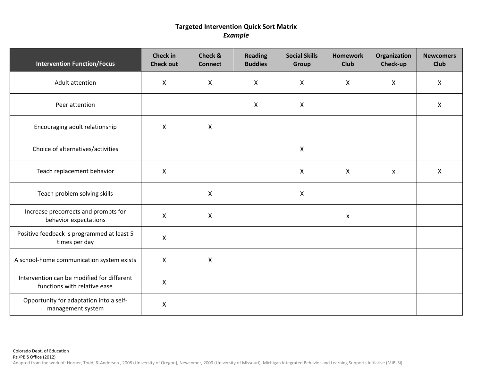# **Targeted Intervention Quick Sort Matrix** *Example*

| <b>Intervention Function/Focus</b>                                         | <b>Check in</b><br><b>Check out</b> | <b>Check &amp;</b><br><b>Connect</b> | <b>Reading</b><br><b>Buddies</b> | <b>Social Skills</b><br>Group | <b>Homework</b><br><b>Club</b> | Organization<br>Check-up | <b>Newcomers</b><br><b>Club</b> |
|----------------------------------------------------------------------------|-------------------------------------|--------------------------------------|----------------------------------|-------------------------------|--------------------------------|--------------------------|---------------------------------|
| Adult attention                                                            | $\mathsf{X}$                        | $\mathsf{X}$                         | $\mathsf{X}$                     | $\mathsf{X}$                  | $\mathsf{X}$                   | $\mathsf{X}$             | X                               |
| Peer attention                                                             |                                     |                                      | $\boldsymbol{X}$                 | $\mathsf{X}$                  |                                |                          | $\mathsf{X}$                    |
| Encouraging adult relationship                                             | $\mathsf{X}$                        | $\mathsf{X}$                         |                                  |                               |                                |                          |                                 |
| Choice of alternatives/activities                                          |                                     |                                      |                                  | $\mathsf{X}$                  |                                |                          |                                 |
| Teach replacement behavior                                                 | $\mathsf{X}$                        |                                      |                                  | $\mathsf{X}$                  | $\mathsf{X}$                   | $\mathsf{x}$             | X                               |
| Teach problem solving skills                                               |                                     | X                                    |                                  | $\mathsf{X}$                  |                                |                          |                                 |
| Increase precorrects and prompts for<br>behavior expectations              | $\mathsf{X}$                        | $\mathsf{X}$                         |                                  |                               | $\boldsymbol{\mathsf{x}}$      |                          |                                 |
| Positive feedback is programmed at least 5<br>times per day                | $\mathsf{X}$                        |                                      |                                  |                               |                                |                          |                                 |
| A school-home communication system exists                                  | $\mathsf{X}$                        | $\mathsf{X}$                         |                                  |                               |                                |                          |                                 |
| Intervention can be modified for different<br>functions with relative ease | $\mathsf{X}$                        |                                      |                                  |                               |                                |                          |                                 |
| Opportunity for adaptation into a self-<br>management system               | $\mathsf{X}$                        |                                      |                                  |                               |                                |                          |                                 |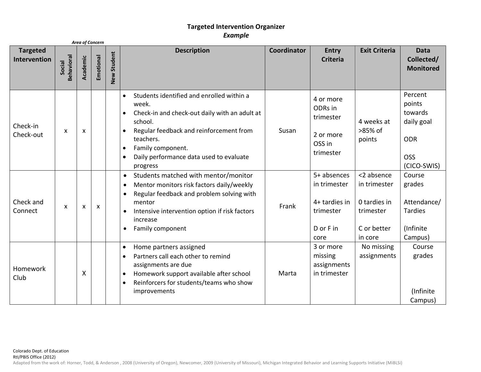# **Targeted Intervention Organizer** *Example*

| <b>Area of Concern</b>          |                             |                           |           |             |                                                                                                                                                                                                                                                                                            |             |                                                                                |                                                                                   |                                                                                       |
|---------------------------------|-----------------------------|---------------------------|-----------|-------------|--------------------------------------------------------------------------------------------------------------------------------------------------------------------------------------------------------------------------------------------------------------------------------------------|-------------|--------------------------------------------------------------------------------|-----------------------------------------------------------------------------------|---------------------------------------------------------------------------------------|
| <b>Targeted</b><br>Intervention | <b>Behavioral</b><br>Social | Academic                  | Emotional | New Student | <b>Description</b>                                                                                                                                                                                                                                                                         | Coordinator | <b>Entry</b><br><b>Criteria</b>                                                | <b>Exit Criteria</b>                                                              | <b>Data</b><br>Collected/<br><b>Monitored</b>                                         |
| Check-in<br>Check-out           | X                           | $\boldsymbol{\mathsf{X}}$ |           |             | Students identified and enrolled within a<br>$\bullet$<br>week.<br>Check-in and check-out daily with an adult at<br>school.<br>Regular feedback and reinforcement from<br>teachers.<br>Family component.<br>$\bullet$<br>Daily performance data used to evaluate<br>٠<br>progress          | Susan       | 4 or more<br>ODRs in<br>trimester<br>2 or more<br>OSS in<br>trimester          | 4 weeks at<br>>85% of<br>points                                                   | Percent<br>points<br>towards<br>daily goal<br><b>ODR</b><br><b>OSS</b><br>(CICO-SWIS) |
| Check and<br>Connect            | X                           | $\boldsymbol{\mathsf{x}}$ | X         |             | Students matched with mentor/monitor<br>$\bullet$<br>Mentor monitors risk factors daily/weekly<br>$\bullet$<br>Regular feedback and problem solving with<br>$\bullet$<br>mentor<br>Intensive intervention option if risk factors<br>$\bullet$<br>increase<br>Family component<br>$\bullet$ | Frank       | 5+ absences<br>in trimester<br>4+ tardies in<br>trimester<br>D or F in<br>core | <2 absence<br>in trimester<br>0 tardies in<br>trimester<br>C or better<br>in core | Course<br>grades<br>Attendance/<br><b>Tardies</b><br>(Infinite<br>Campus)             |
| Homework<br>Club                |                             | X                         |           |             | Home partners assigned<br>$\bullet$<br>Partners call each other to remind<br>$\bullet$<br>assignments are due<br>Homework support available after school<br>$\bullet$<br>Reinforcers for students/teams who show<br>$\bullet$<br>improvements                                              | Marta       | 3 or more<br>missing<br>assignments<br>in trimester                            | No missing<br>assignments                                                         | Course<br>grades<br>(Infinite<br>Campus)                                              |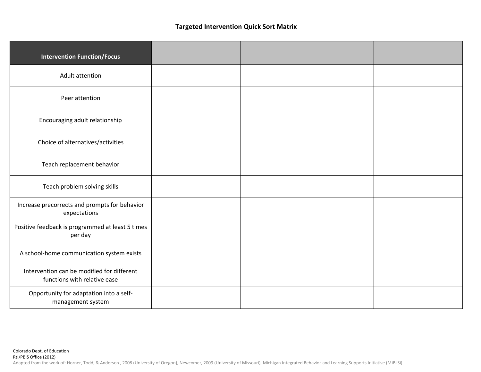### **Targeted Intervention Quick Sort Matrix**

| <b>Intervention Function/Focus</b>                                         |  |  |  |  |
|----------------------------------------------------------------------------|--|--|--|--|
| Adult attention                                                            |  |  |  |  |
| Peer attention                                                             |  |  |  |  |
| Encouraging adult relationship                                             |  |  |  |  |
| Choice of alternatives/activities                                          |  |  |  |  |
| Teach replacement behavior                                                 |  |  |  |  |
| Teach problem solving skills                                               |  |  |  |  |
| Increase precorrects and prompts for behavior<br>expectations              |  |  |  |  |
| Positive feedback is programmed at least 5 times<br>per day                |  |  |  |  |
| A school-home communication system exists                                  |  |  |  |  |
| Intervention can be modified for different<br>functions with relative ease |  |  |  |  |
| Opportunity for adaptation into a self-<br>management system               |  |  |  |  |